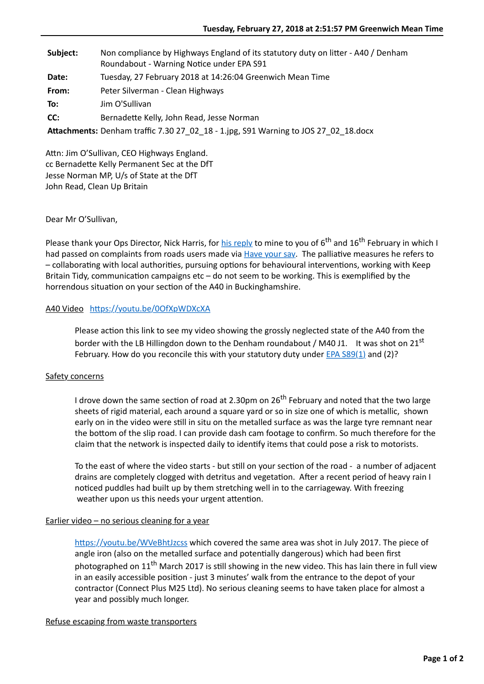| Subject: | Non compliance by Highways England of its statutory duty on litter - A40 / Denham<br>Roundabout - Warning Notice under EPA S91 |
|----------|--------------------------------------------------------------------------------------------------------------------------------|
| Date:    | Tuesday, 27 February 2018 at 14:26:04 Greenwich Mean Time                                                                      |
| From:    | Peter Silverman - Clean Highways                                                                                               |
| To:      | Jim O'Sullivan                                                                                                                 |
| CC:      | Bernadette Kelly, John Read, Jesse Norman                                                                                      |
|          | Attachments: Denham traffic 7.30 27_02_18 - 1.jpg, S91 Warning to JOS 27_02_18.docx                                            |

Attn: Jim O'Sullivan, CEO Highways England. cc Bernadette Kelly Permanent Sec at the DfT Jesse Norman MP, U/s of State at the DfT John Read, Clean Up Britain

Dear Mr O'Sullivan,

Please thank your Ops Director, Nick Harris, for [his reply](http://www.cleanhighways.co.uk/wp-content/uploads/2018/02/HE-NH-to-PS-26_02_18-.pdf) to mine to you of 6<sup>th</sup> and 16<sup>th</sup> February in which I had passed on complaints from roads users made via [Have your say](http://www.cleanhighways.co.uk/comments). The palliative measures he refers to – collaborating with local authorities, pursuing options for behavioural interventions, working with Keep Britain Tidy, communication campaigns  $etc - do$  not seem to be working. This is exemplified by the horrendous situation on your section of the A40 in Buckinghamshire.

# A40 Video https://youtu.be/0OfXpWDXcXA

Please action this link to see my video showing the grossly neglected state of the A40 from the border with the LB Hillingdon down to the Denham roundabout / M40 J1. It was shot on 21<sup>st</sup> February. How do you reconcile this with your statutory duty under  $EPA$  S89(1) and (2)?

### Safety concerns

I drove down the same section of road at 2.30pm on  $26<sup>th</sup>$  February and noted that the two large sheets of rigid material, each around a square yard or so in size one of which is metallic, shown early on in the video were still in situ on the metalled surface as was the large tyre remnant near the bottom of the slip road. I can provide dash cam footage to confirm. So much therefore for the claim that the network is inspected daily to identify items that could pose a risk to motorists.

To the east of where the video starts - but still on your section of the road - a number of adjacent drains are completely clogged with detritus and vegetation. After a recent period of heavy rain I noticed puddles had built up by them stretching well in to the carriageway. With freezing weather upon us this needs your urgent attention.

### Earlier video - no serious cleaning for a year

https://youtu.be/WVeBhtJzcss which covered the same area was shot in July 2017. The piece of angle iron (also on the metalled surface and potentially dangerous) which had been first photographed on  $11<sup>th</sup>$  March 2017 is still showing in the new video. This has lain there in full view in an easily accessible position - just 3 minutes' walk from the entrance to the depot of your contractor (Connect Plus M25 Ltd). No serious cleaning seems to have taken place for almost a year and possibly much longer.

### Refuse escaping from waste transporters